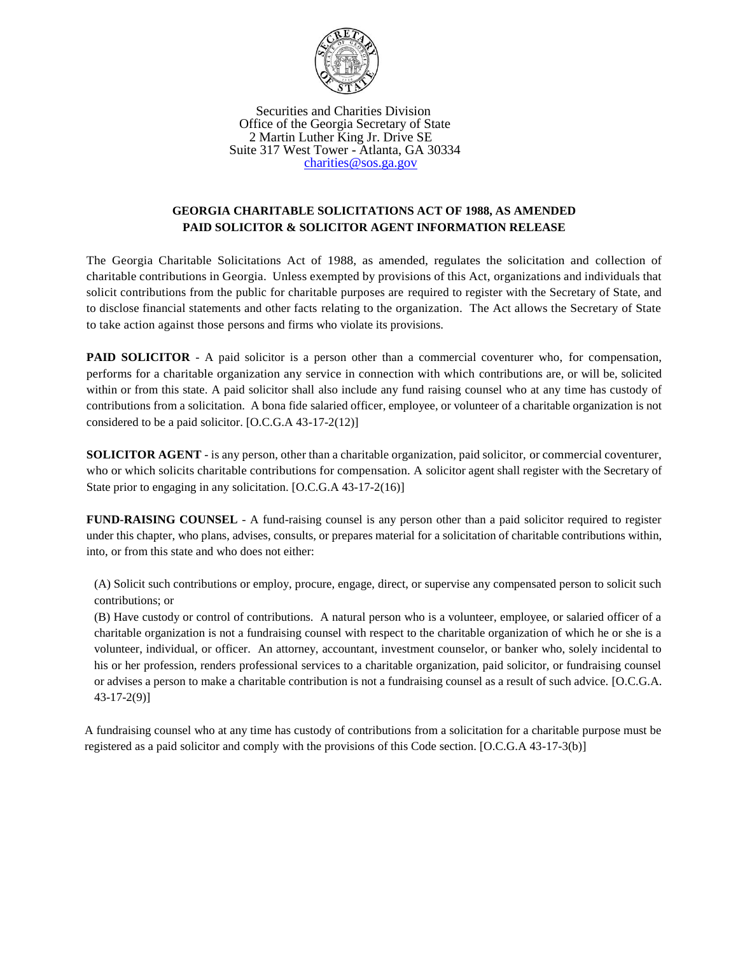

 Securities and Charities Division Office of the Georgia Secretary of State 2 Martin Luther King Jr. Drive SE Suite 317 West Tower - Atlanta, GA 30334 [charities@sos.ga.gov](mailto:charities@sos.ga.gov)

## **GEORGIA CHARITABLE SOLICITATIONS ACT OF 1988, AS AMENDED PAID SOLICITOR & SOLICITOR AGENT INFORMATION RELEASE**

The Georgia Charitable Solicitations Act of 1988, as amended, regulates the solicitation and collection of charitable contributions in Georgia. Unless exempted by provisions of this Act, organizations and individuals that solicit contributions from the public for charitable purposes are required to register with the Secretary of State, and to disclose financial statements and other facts relating to the organization. The Act allows the Secretary of State to take action against those persons and firms who violate its provisions.

**PAID SOLICITOR** - A paid solicitor is a person other than a commercial coventurer who, for compensation, performs for a charitable organization any service in connection with which contributions are, or will be, solicited within or from this state. A paid solicitor shall also include any fund raising counsel who at any time has custody of contributions from a solicitation. A bona fide salaried officer, employee, or volunteer of a charitable organization is not considered to be a paid solicitor. [O.C.G.A 43-17-2(12)]

**SOLICITOR AGENT** - is any person, other than a charitable organization, paid solicitor, or commercial coventurer, who or which solicits charitable contributions for compensation. A solicitor agent shall register with the Secretary of State prior to engaging in any solicitation. [O.C.G.A 43-17-2(16)]

**FUND-RAISING COUNSEL** - A fund-raising counsel is any person other than a paid solicitor required to register under this chapter, who plans, advises, consults, or prepares material for a solicitation of charitable contributions within, into, or from this state and who does not either:

(A) Solicit such contributions or employ, procure, engage, direct, or supervise any compensated person to solicit such contributions; or

(B) Have custody or control of contributions. A natural person who is a volunteer, employee, or salaried officer of a charitable organization is not a fundraising counsel with respect to the charitable organization of which he or she is a volunteer, individual, or officer. An attorney, accountant, investment counselor, or banker who, solely incidental to his or her profession, renders professional services to a charitable organization, paid solicitor, or fundraising counsel or advises a person to make a charitable contribution is not a fundraising counsel as a result of such advice. [O.C.G.A. 43-17-2(9)]

A fundraising counsel who at any time has custody of contributions from a solicitation for a charitable purpose must be registered as a paid solicitor and comply with the provisions of this Code section. [O.C.G.A 43-17-3(b)]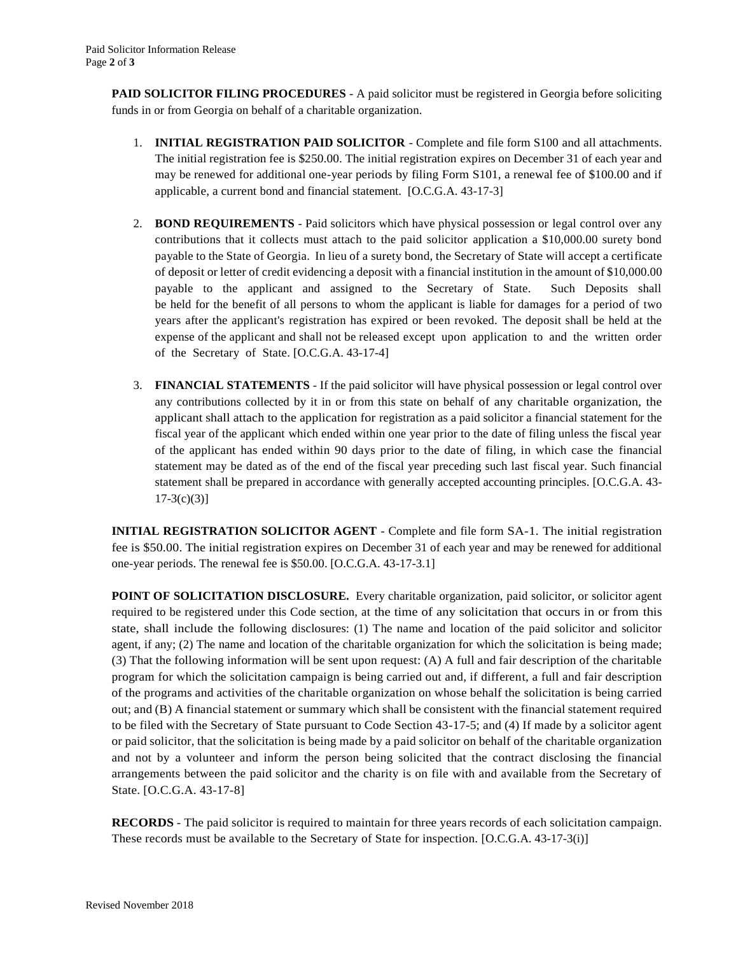**PAID SOLICITOR FILING PROCEDURES** - A paid solicitor must be registered in Georgia before soliciting funds in or from Georgia on behalf of a charitable organization.

- 1. **INITIAL REGISTRATION PAID SOLICITOR** Complete and file form S100 and all attachments. The initial registration fee is \$250.00. The initial registration expires on December 31 of each year and may be renewed for additional one-year periods by filing Form S101, a renewal fee of \$100.00 and if applicable, a current bond and financial statement. [O.C.G.A. 43-17-3]
- 2. **BOND REQUIREMENTS** Paid solicitors which have physical possession or legal control over any contributions that it collects must attach to the paid solicitor application a \$10,000.00 surety bond payable to the State of Georgia. In lieu of a surety bond, the Secretary of State will accept a certificate of deposit or letter of credit evidencing a deposit with a financial institution in the amount of \$10,000.00 payable to the applicant and assigned to the Secretary of State. Such Deposits shall be held for the benefit of all persons to whom the applicant is liable for damages for a period of two years after the applicant's registration has expired or been revoked. The deposit shall be held at the expense of the applicant and shall not be released except upon application to and the written order of the Secretary of State. [O.C.G.A. 43-17-4]
- 3. **FINANCIAL STATEMENTS** If the paid solicitor will have physical possession or legal control over any contributions collected by it in or from this state on behalf of any charitable organization, the applicant shall attach to the application for registration as a paid solicitor a financial statement for the fiscal year of the applicant which ended within one year prior to the date of filing unless the fiscal year of the applicant has ended within 90 days prior to the date of filing, in which case the financial statement may be dated as of the end of the fiscal year preceding such last fiscal year. Such financial statement shall be prepared in accordance with generally accepted accounting principles. [O.C.G.A. 43-  $17-3(c)(3)$ ]

**INITIAL REGISTRATION SOLICITOR AGENT** - Complete and file form SA-1. The initial registration fee is \$50.00. The initial registration expires on December 31 of each year and may be renewed for additional one-year periods. The renewal fee is \$50.00. [O.C.G.A. 43-17-3.1]

**POINT OF SOLICITATION DISCLOSURE.** Every charitable organization, paid solicitor, or solicitor agent required to be registered under this Code section, at the time of any solicitation that occurs in or from this state, shall include the following disclosures: (1) The name and location of the paid solicitor and solicitor agent, if any; (2) The name and location of the charitable organization for which the solicitation is being made; (3) That the following information will be sent upon request: (A) A full and fair description of the charitable program for which the solicitation campaign is being carried out and, if different, a full and fair description of the programs and activities of the charitable organization on whose behalf the solicitation is being carried out; and (B) A financial statement or summary which shall be consistent with the financial statement required to be filed with the Secretary of State pursuant to Code Section 43-17-5; and (4) If made by a solicitor agent or paid solicitor, that the solicitation is being made by a paid solicitor on behalf of the charitable organization and not by a volunteer and inform the person being solicited that the contract disclosing the financial arrangements between the paid solicitor and the charity is on file with and available from the Secretary of State. [O.C.G.A. 43-17-8]

**RECORDS** - The paid solicitor is required to maintain for three years records of each solicitation campaign. These records must be available to the Secretary of State for inspection. [O.C.G.A. 43-17-3(i)]